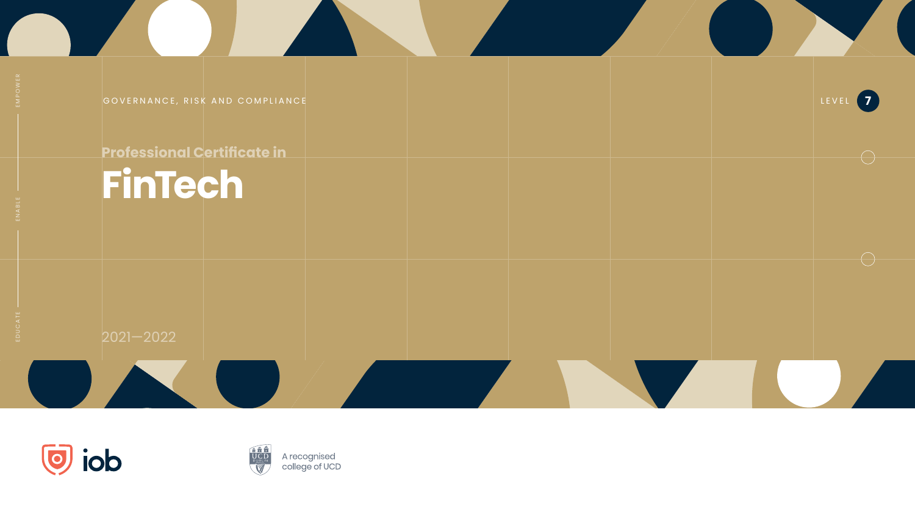



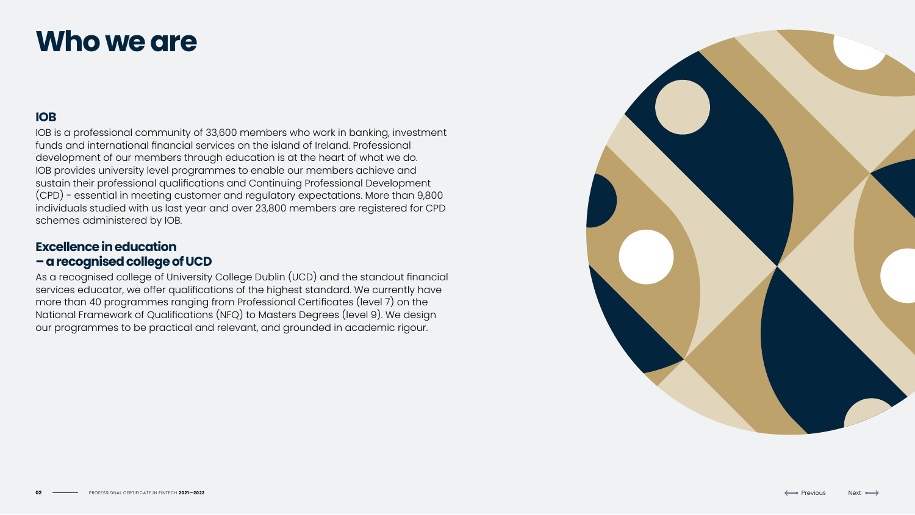# **IOB**

IOB is a professional community of 33,600 members who work in banking, investment funds and international financial services on the island of Ireland. Professional development of our members through education is at the heart of what we do. IOB provides university level programmes to enable our members achieve and sustain their professional qualifications and Continuing Professional Development (CPD) - essential in meeting customer and regulatory expectations. More than 9,800 individuals studied with us last year and over 23,800 members are registered for CPD schemes administered by IOB.

# **Excellence in education – a recognised college of UCD**

As a recognised college of University College Dublin (UCD) and the standout financial services educator, we offer qualifications of the highest standard. We currently have more than 40 programmes ranging from Professional Certificates (level 7) on the National Framework of Qualifications (NFQ) to Masters Degrees (level 9). We design our programmes to be practical and relevant, and grounded in academic rigour.



Next 
$$
\rightarrow
$$

# **Who we are**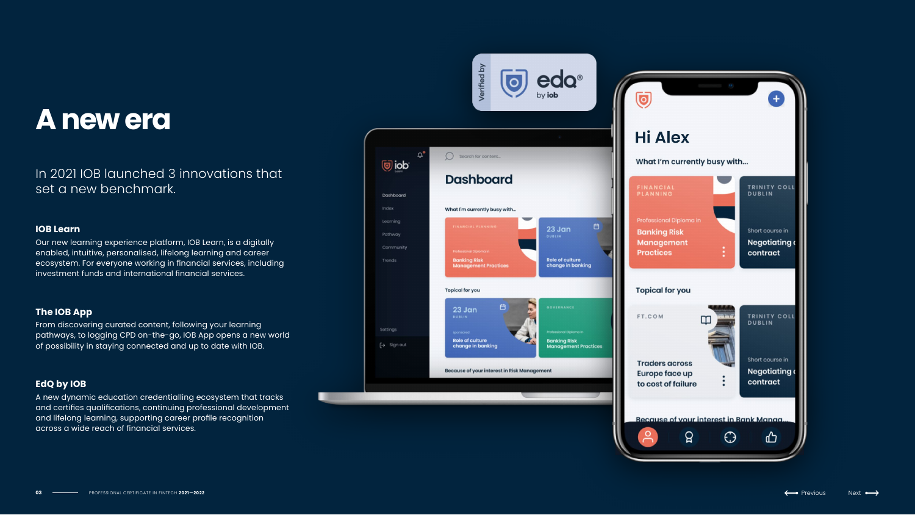# **A new era**

# In 2021 IOB launched 3 innovations that set a new benchmark.

### **IOB Learn**

Our new learning experience platform, IOB Learn, is a digitally enabled, intuitive, personalised, lifelong learning and career ecosystem. For everyone working in financial services, including investment funds and international financial services.

### **The IOB App**

From discovering curated content, following your learning pathways, to logging CPD on-the-go, IOB App opens a new world of possibility in staying connected and up to date with IOB.

## **EdQ by IOB**

A new dynamic education credentialling ecosystem that tracks and certifies qualifications, continuing professional development and lifelong learning, supporting career profile recognition across a wide reach of financial services.





$$
\qquad \qquad \text{lex} \leftrightarrow
$$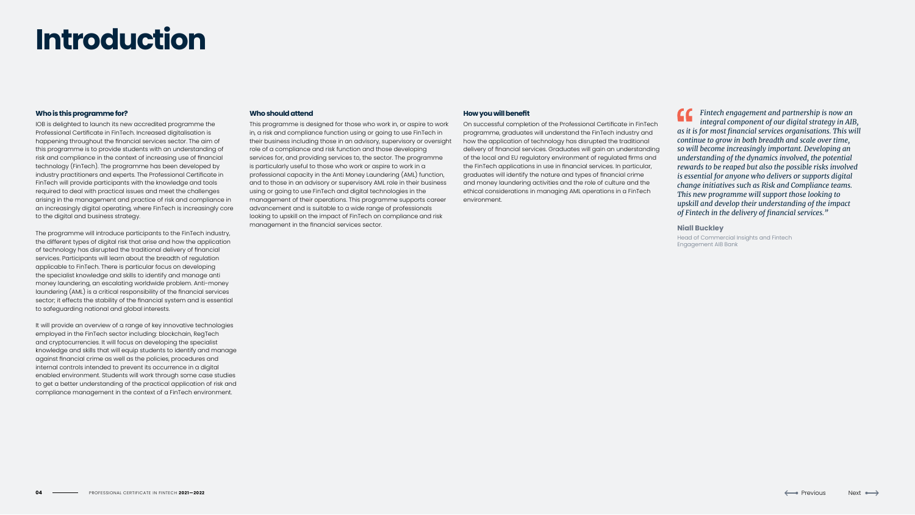# **Introduction**

#### **Who is this programme for?**

IOB is delighted to launch its new accredited programme the Professional Certificate in FinTech. Increased digitalisation is happening throughout the financial services sector. The aim of this programme is to provide students with an understanding of risk and compliance in the context of increasing use of financial technology (FinTech). The programme has been developed by industry practitioners and experts. The Professional Certificate in FinTech will provide participants with the knowledge and tools required to deal with practical issues and meet the challenges arising in the management and practice of risk and compliance in an increasingly digital operating, where FinTech is increasingly core to the digital and business strategy.

The programme will introduce participants to the FinTech industry, the different types of digital risk that arise and how the application of technology has disrupted the traditional delivery of financial services. Participants will learn about the breadth of regulation applicable to FinTech. There is particular focus on developing the specialist knowledge and skills to identify and manage anti money laundering, an escalating worldwide problem. Anti-money laundering (AML) is a critical responsibility of the financial services sector; it effects the stability of the financial system and is essential to safeguarding national and global interests.

It will provide an overview of a range of key innovative technologies employed in the FinTech sector including: blockchain, RegTech and cryptocurrencies. It will focus on developing the specialist knowledge and skills that will equip students to identify and manage against financial crime as well as the policies, procedures and internal controls intended to prevent its occurrence in a digital enabled environment. Students will work through some case studies to get a better understanding of the practical application of risk and compliance management in the context of a FinTech environment.

#### **Who should attend**

This programme is designed for those who work in, or aspire to work in, a risk and compliance function using or going to use FinTech in their business including those in an advisory, supervisory or oversight role of a compliance and risk function and those developing services for, and providing services to, the sector. The programme is particularly useful to those who work or aspire to work in a professional capacity in the Anti Money Laundering (AML) function, and to those in an advisory or supervisory AML role in their business using or going to use FinTech and digital technologies in the management of their operations. This programme supports career advancement and is suitable to a wide range of professionals looking to upskill on the impact of FinTech on compliance and risk management in the financial services sector.

#### **How you will benefit**

On successful completion of the Professional Certificate in FinTech programme, graduates will understand the FinTech industry and how the application of technology has disrupted the traditional delivery of financial services. Graduates will gain an understanding of the local and EU regulatory environment of regulated firms and the FinTech applications in use in financial services. In particular, graduates will identify the nature and types of financial crime and money laundering activities and the role of culture and the ethical considerations in managing AML operations in a FinTech environment.

*Fintech engagement and partnership is now an integral component of our digital strategy in AIB, as it is for most financial services organisations. This will continue to grow in both breadth and scale over time, so will become increasingly important. Developing an understanding of the dynamics involved, the potential rewards to be reaped but also the possible risks involved is essential for anyone who delivers or supports digital change initiatives such as Risk and Compliance teams. This new programme will support those looking to upskill and develop their understanding of the impact of Fintech in the delivery of financial services."*

#### **Niall Buckley**

Head of Commercial Insights and Fintech Engagement AIB Bank

Next 
$$
\leftrightarrow
$$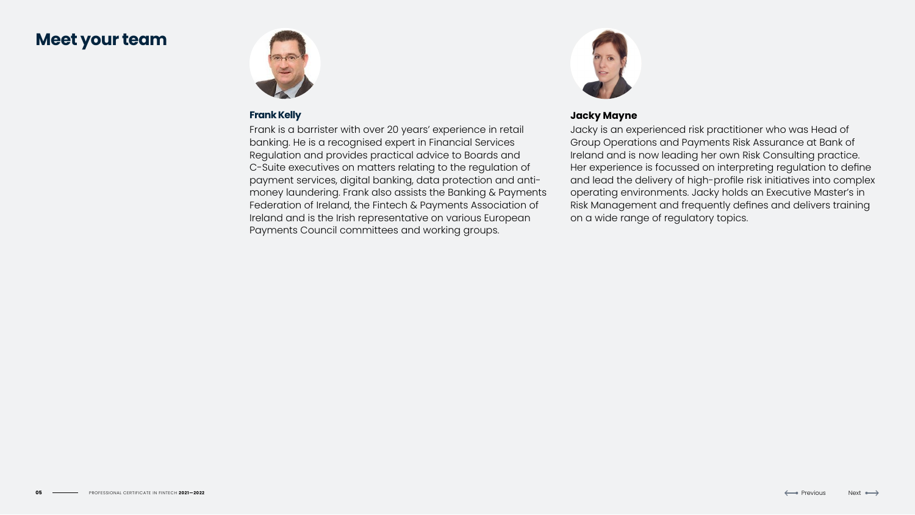# **Meet your team**



# **Frank Kelly**

Frank is a barrister with over 20 years' experience in retail banking. He is a recognised expert in Financial Services Regulation and provides practical advice to Boards and C-Suite executives on matters relating to the regulation of payment services, digital banking, data protection and antimoney laundering. Frank also assists the Banking & Payments Federation of Ireland, the Fintech & Payments Association of Ireland and is the Irish representative on various European Payments Council committees and working groups.



# **Jacky Mayne**

Jacky is an experienced risk practitioner who was Head of Group Operations and Payments Risk Assurance at Bank of Ireland and is now leading her own Risk Consulting practice. Her experience is focussed on interpreting regulation to define and lead the delivery of high-profile risk initiatives into complex operating environments. Jacky holds an Executive Master's in Risk Management and frequently defines and delivers training on a wide range of regulatory topics.



$$
\text{Next} \leftrightarrow
$$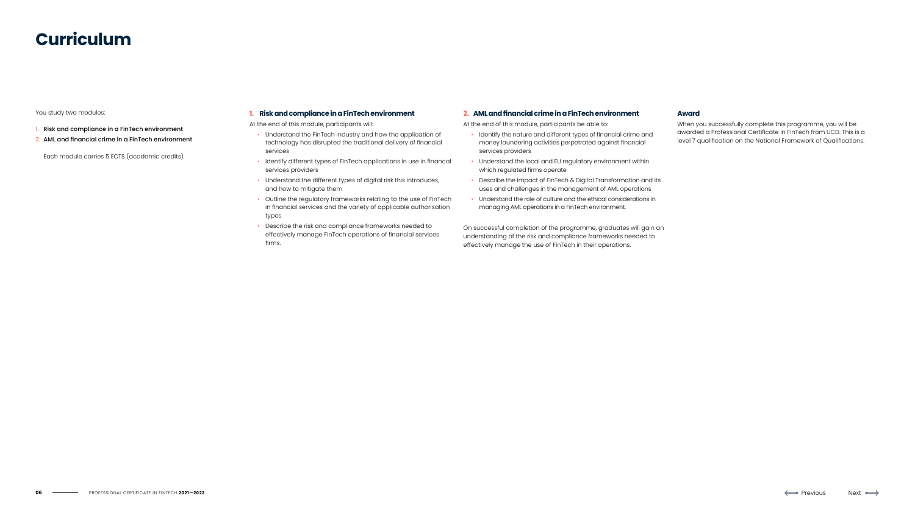# **Curriculum**

You study two modules:

- 1. Risk and compliance in a FinTech environment
- 2. AML and financial crime in a FinTech environment

Each module carries 5 ECTS (academic credits).

#### **1. Risk and compliance in a FinTech environment**

At the end of this module, participants will:

- Understand the FinTech industry and how the application of technology has disrupted the traditional delivery of financial services
- Identify different types of FinTech applications in use in financal services providers
- Understand the different types of digital risk this introduces, and how to mitigate them
- Outline the regulatory frameworks relating to the use of FinTech in financial services and the variety of applicable authorisation types
- Describe the risk and compliance frameworks needed to effectively manage FinTech operations of financial services firms.

#### **2. AML and financial crime in a FinTech environment**

At the end of this module, participants be able to:

- Identify the nature and different types of financial crime and money laundering activities perpetrated against financial services providers
- Understand the local and EU regulatory environment within which regulated firms operate
- Describe the impact of FinTech & Digital Transformation and its uses and challenges in the management of AML operations
- Understand the role of culture and the ethical considerations in managing AML operations in a FinTech environment.

On successful completion of the programme, graduates will gain an understanding of the risk and compliance frameworks needed to effectively manage the use of FinTech in their operations.

#### **Award**

When you successfully complete this programme, you will be awarded a Professional Certificate in FinTech from UCD. This is a level 7 qualification on the National Framework of Qualifications.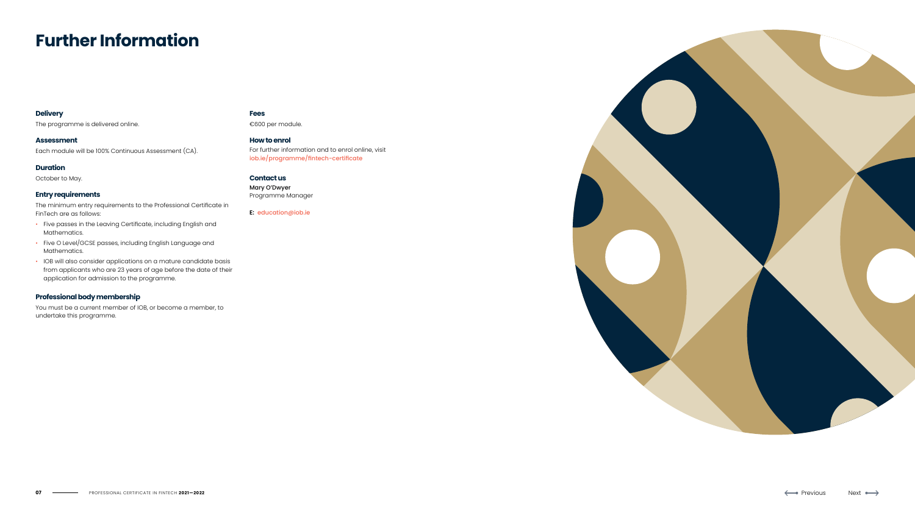# **Further Information**

#### **Delivery**

The programme is delivered online.

#### **Assessment**

Each module will be 100% Continuous Assessment (CA).

#### **Duration**

October to May.

#### **Entry requirements**

The minimum entry requirements to the Professional Certificate in FinTech are as follows:

- Five passes in the Leaving Certificate, including English and Mathematics.
- Five O Level/GCSE passes, including English Language and Mathematics.
- IOB will also consider applications on a mature candidate basis from applicants who are 23 years of age before the date of their application for admission to the programme.

#### **Professional body membership**

You must be a current member of IOB, or become a member, to undertake this programme.

#### **Fees**

€600 per module.

**How to enrol** For further information and to enrol online, visit [iob.ie/programme/fintech-certificate](http://iob.ie/programme/fintech-certificate)

#### **Contact us**

Mary O'Dwyer Programme Manager

**E:** [education@iob.ie](mailto:education%40iob.ie?subject=)



$$
\mathsf{Next} \longleftrightarrow
$$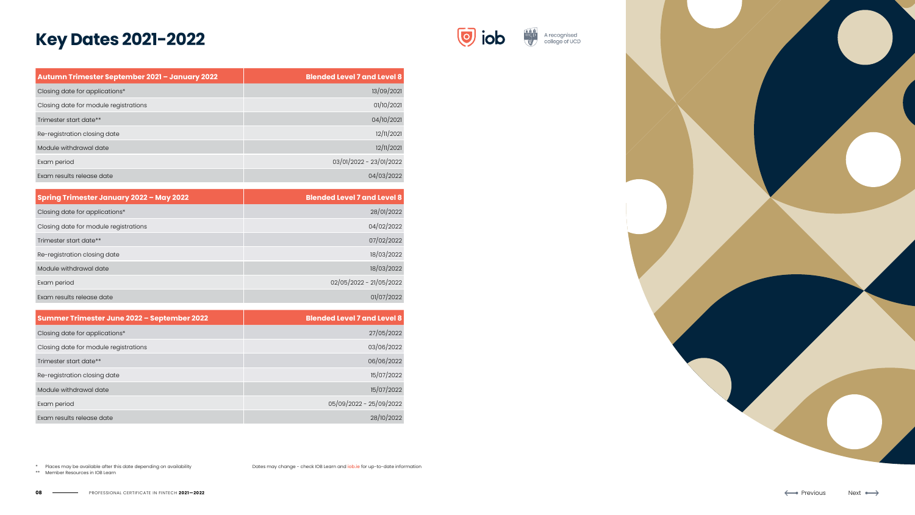| Autumn Trimester September 2021 - January 2022 | <b>Blended Level 7 and Level 8</b> |
|------------------------------------------------|------------------------------------|
| Closing date for applications*                 | 13/09/2021                         |
| Closing date for module registrations          | 01/10/2021                         |
| Trimester start date**                         | 04/10/2021                         |
| Re-registration closing date                   | 12/11/2021                         |
| Module withdrawal date                         | 12/11/2021                         |
| Exam period                                    | 03/01/2022 - 23/01/2022            |
| Exam results release date                      | 04/03/2022                         |

| Spring Trimester January 2022 - May 2022 | <b>Blended Level 7 and Level 8</b> |
|------------------------------------------|------------------------------------|
| Closing date for applications*           | 28/01/2022                         |
| Closing date for module registrations    | 04/02/2022                         |
| Trimester start date**                   | 07/02/2022                         |
| Re-registration closing date             | 18/03/2022                         |
| Module withdrawal date                   | 18/03/2022                         |
| Exam period                              | 02/05/2022 - 21/05/2022            |
| Exam results release date                | 01/07/2022                         |

| Summer Trimester June 2022 - September 2022 | <b>Blended Level 7 and Level 8</b> |
|---------------------------------------------|------------------------------------|
| Closing date for applications*              | 27/05/2022                         |
| Closing date for module registrations       | 03/06/2022                         |
| Trimester start date**                      | 06/06/2022                         |
| Re-registration closing date                | 15/07/2022                         |
| Module withdrawal date                      | 15/07/2022                         |
| Exam period                                 | 05/09/2022 - 25/09/2022            |
| Exam results release date                   | 28/10/2022                         |

# **Key Dates 2021-2022**





\* Places may be available after this date depending on availability

\*\* Member Resources in IOB Learn

Dates may change - check IOB Learn and *iob.ie* for up-to-date information

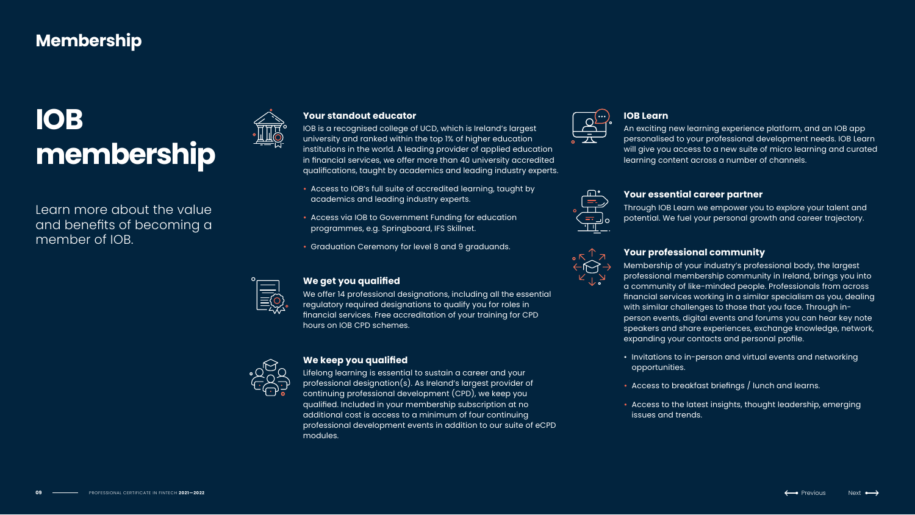## **IOB Learn**

An exciting new learning experience platform, and an IOB app personalised to your professional development needs. IOB Learn will give you access to a new suite of micro learning and curated learning content across a number of channels.

## **Your essential career partner**

Through IOB Learn we empower you to explore your talent and potential. We fuel your personal growth and career trajectory.

## **Your professional community**

Membership of your industry's professional body, the largest professional membership community in Ireland, brings you into a community of like-minded people. Professionals from across financial services working in a similar specialism as you, dealing with similar challenges to those that you face. Through inperson events, digital events and forums you can hear key note speakers and share experiences, exchange knowledge, network, expanding your contacts and personal profile.

- Invitations to in-person and virtual events and networking opportunities.
- Access to breakfast briefings / lunch and learns.
- Access to the latest insights, thought leadership, emerging issues and trends.

$$
\qquad \qquad \text{lex} \ \longleftrightarrow
$$

# **Your standout educator**

IOB is a recognised college of UCD, which is Ireland's largest university and ranked within the top 1% of higher education institutions in the world. A leading provider of applied education in financial services, we offer more than 40 university accredited qualifications, taught by academics and leading industry experts.

- Access to IOB's full suite of accredited learning, taught by academics and leading industry experts.
- Access via IOB to Government Funding for education programmes, e.g. Springboard, IFS Skillnet.
- Graduation Ceremony for level 8 and 9 graduands.



# **We get you qualified**

We offer 14 professional designations, including all the essential regulatory required designations to qualify you for roles in financial services. Free accreditation of your training for CPD hours on IOB CPD schemes.



# **We keep you qualified**

Lifelong learning is essential to sustain a career and your professional designation(s). As Ireland's largest provider of continuing professional development (CPD), we keep you qualified. Included in your membership subscription at no additional cost is access to a minimum of four continuing professional development events in addition to our suite of eCPD modules.







Learn more about the value and benefits of becoming a member of IOB.



# **IOB membership**

# **Membership**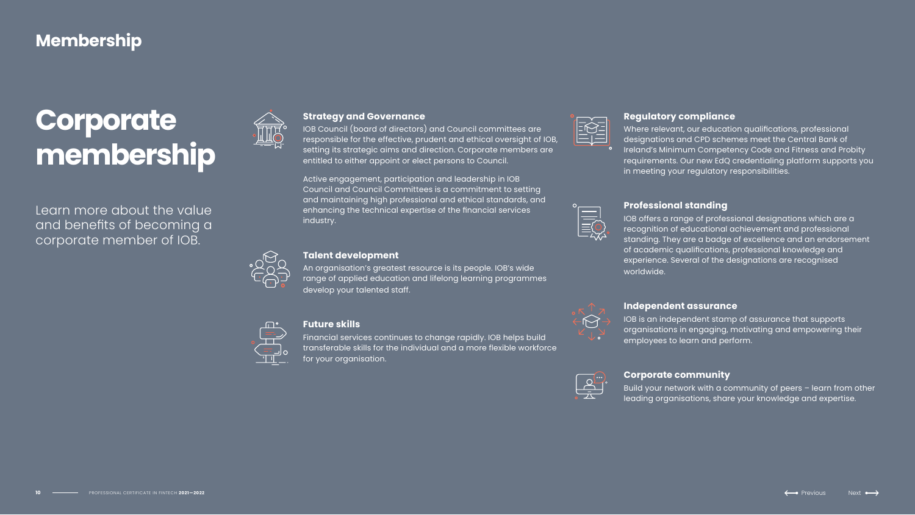# **Regulatory compliance**

Where relevant, our education qualifications, professional designations and CPD schemes meet the Central Bank of Ireland's Minimum Competency Code and Fitness and Probity requirements. Our new EdQ credentialing platform supports you in meeting your regulatory responsibilities.

## **Professional standing**

IOB offers a range of professional designations which are a recognition of educational achievement and professional standing. They are a badge of excellence and an endorsement of academic qualifications, professional knowledge and experience. Several of the designations are recognised worldwide.

### **Independent assurance**

IOB is an independent stamp of assurance that supports organisations in engaging, motivating and empowering their employees to learn and perform.

# **Corporate community**

An organisation's greatest resource is its people. IOB's wide range of applied education and lifelong learning programmes develop your talented staff.



Build your network with a community of peers – learn from other leading organisations, share your knowledge and expertise.

## **Strategy and Governance**

IOB Council (board of directors) and Council committees are responsible for the effective, prudent and ethical oversight of IOB, setting its strategic aims and direction. Corporate members are entitled to either appoint or elect persons to Council.

Active engagement, participation and leadership in IOB Council and Council Committees is a commitment to setting and maintaining high professional and ethical standards, and enhancing the technical expertise of the financial services industry.



### **Talent development**

#### **Future skills**

Financial services continues to change rapidly. IOB helps build transferable skills for the individual and a more flexible workforce for your organisation.









| $\bullet\bullet\bullet$ |  |
|-------------------------|--|
| G,                      |  |
|                         |  |
|                         |  |
|                         |  |
|                         |  |

Learn more about the value and benefits of becoming a corporate member of IOB.



# **Corporate membership**

# **Membership**